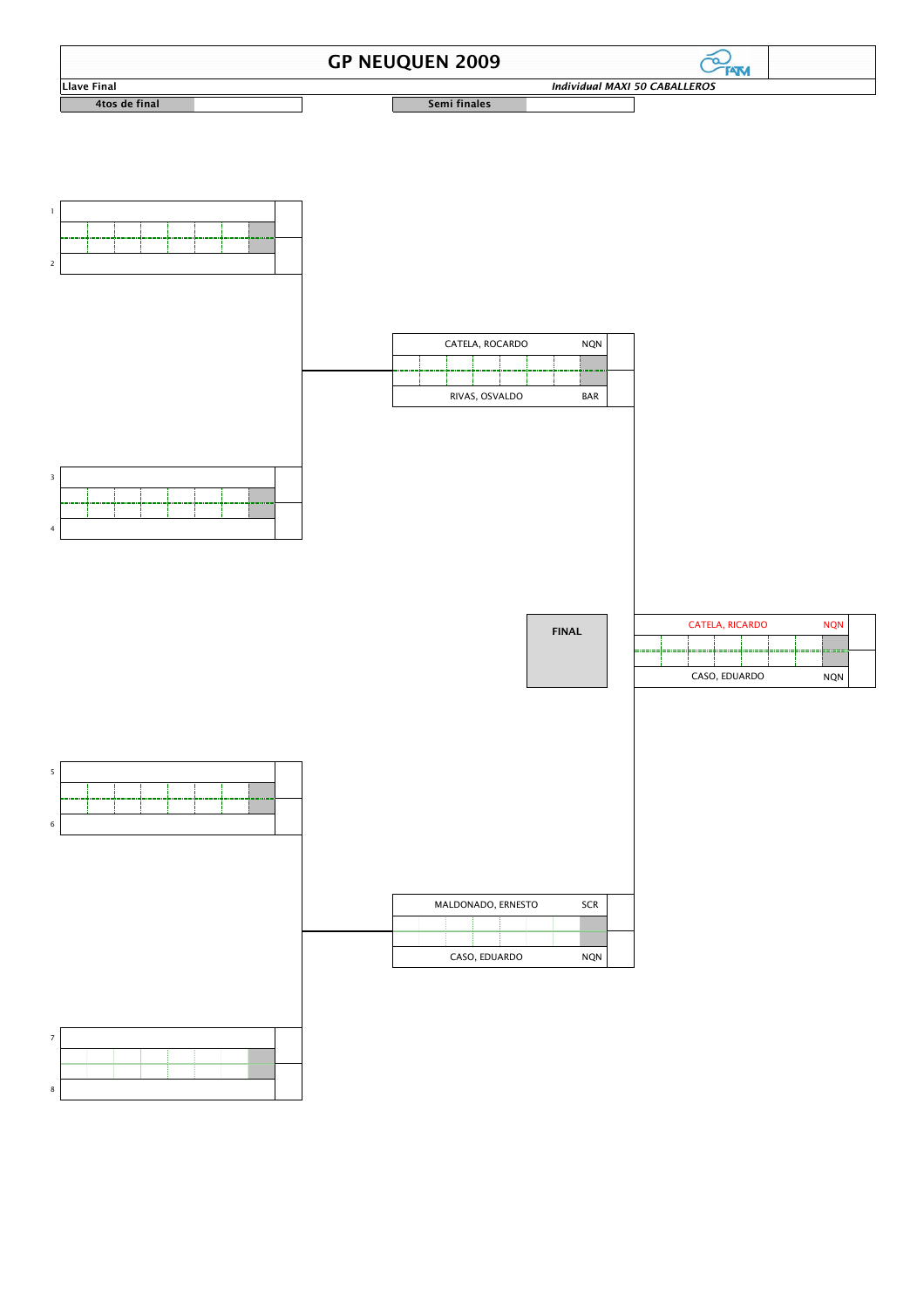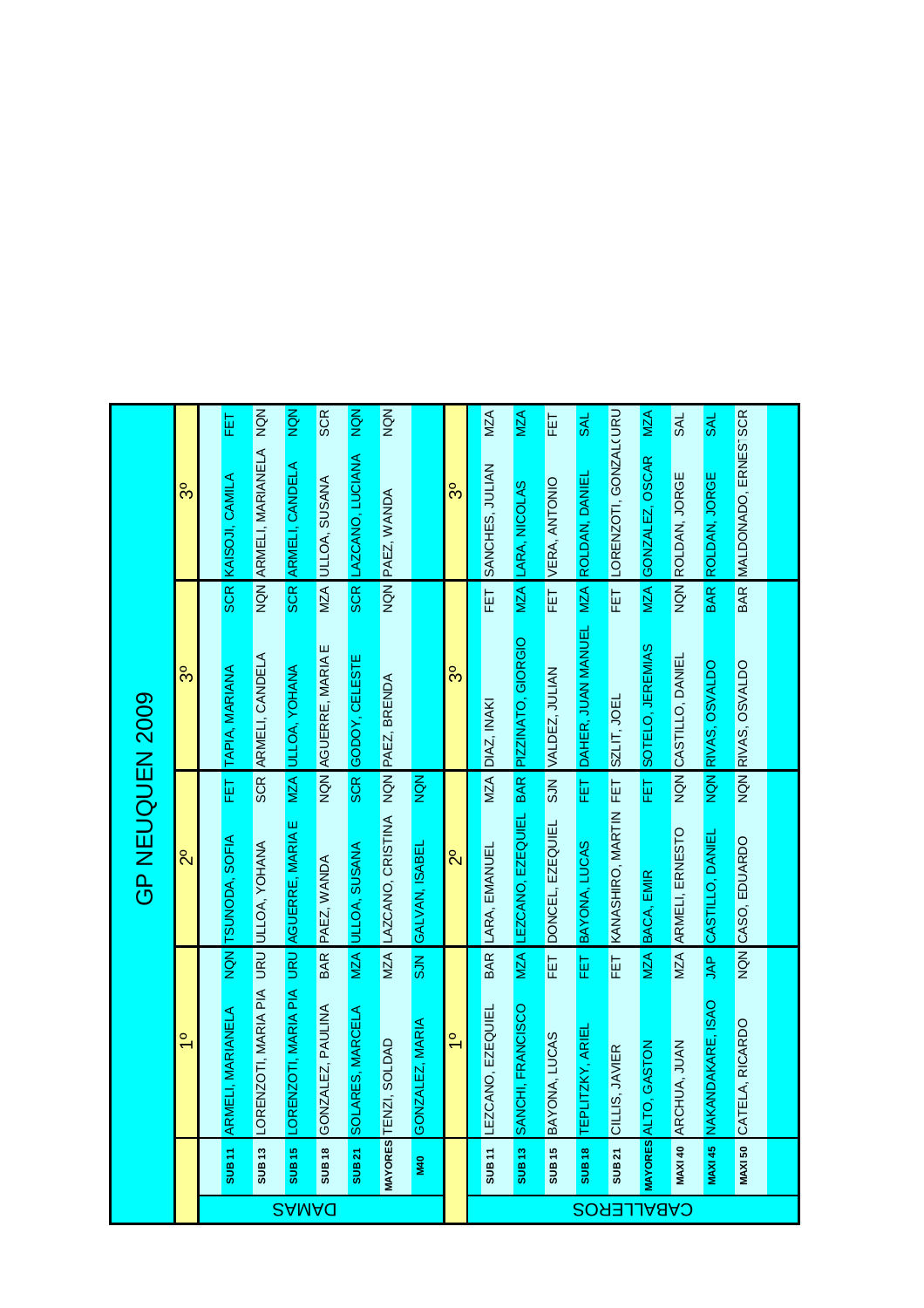|                   |                   |                                        |                 | GP NEUQUEN 2009                              |            |                            |                  |                                 |            |
|-------------------|-------------------|----------------------------------------|-----------------|----------------------------------------------|------------|----------------------------|------------------|---------------------------------|------------|
|                   |                   | $\frac{1}{2}$                          |                 | $\alpha$                                     |            | ွိ                         |                  | ွ                               |            |
|                   |                   |                                        |                 |                                              |            |                            |                  |                                 |            |
|                   | SUB <sub>11</sub> | I, MARIANELA<br><b>ARMEL</b>           |                 | NQN TSUNODA, SOFIA                           | EET        | TAPIA, MARIANA             | <b>SCR</b>       | KAISOJI, CAMILA                 | 证          |
|                   | SUB <sub>13</sub> | LORENZOTI, MARIA PIA URU ULLOA, YOHANA |                 |                                              |            | <b>SCR ARMELI, CANDELA</b> |                  | NON ARMELI, MARIANELA NON       |            |
| <b>SAMAQ</b>      | <b>SUB15</b>      | <b>LOREN</b>                           |                 | ZOTI, MARIA PIA URU AGUERRE, MARIA E         |            | <b>MZA ULLOA, YOHANA</b>   | <b>SCR</b>       | ARMELI, CANDELA                 | NQN        |
|                   | <b>SUB18</b>      | GONZALEZ, PAULINA                      |                 | BAR PAEZ, WANDA                              |            | NQN AGUERRE, MARIA E       | <b>MZA</b>       | ULLOA, SUSANA                   | <b>SCR</b> |
|                   | SUB 21            | ES, MARCELA<br><b>SOLAR</b>            | MZA             | ULLOA, SUSANA                                | <b>SCR</b> | GODOY, CELESTE             | SCR              | LAZCANO, LUCIANA                | NQN        |
|                   | MAYORES TENZI,    | <b>GACLOS</b>                          |                 | MZA LAZCANO, CRISTINA NQN PAEZ, BRENDA       |            |                            |                  | NQN PAEZ, WANDA                 | NON        |
|                   | <b>M40</b>        | LEZ, MARIA<br><b>GONZA</b>             | SUN             | GALVAN, ISABEL                               | NON        |                            |                  |                                 |            |
|                   |                   | $\frac{1}{2}$                          |                 | $\overline{2}^{\circ}$                       |            | ွ                          |                  | ွိ                              |            |
|                   | SUB <sub>11</sub> | LEZCANO, EZEQUIEL                      | <b>BAR</b>      | LARA, EMANUEL                                |            | MZA DIAZ, INAKI            | ET               | SANCHES, JULIAN                 | MZA        |
|                   | SUB <sub>13</sub> | SANCHI, FRANCISCO                      |                 | MZA LEZCANO, EZEQUIEL BAR PIZZINATO, GIORGIO |            |                            | MZA              | LARA, NICOLAS                   | MZA        |
|                   | SUB <sub>15</sub> | BAYONA, LUCAS                          | Ë               | DONCEL, EZEQUIEL                             |            | SJN VALDEZ, JULIAN         | FET <sub>1</sub> | VERA, ANTONIO                   | ΕT         |
|                   | SUB <sub>18</sub> | ZKY, ARIEI<br>TEPLIT                   | ΕĒ              | BAYONA, LUCAS                                | Ë          | DAHER, JUAN MANUEL         | MZA              | ROLDAN, DANIEL                  | <b>SAL</b> |
|                   | SUB 21            | <b>JAVIER</b><br>CILLIS,               | FET <sup></sup> | KANASHIRO, MARTIN FET                        |            | SZLIT, JOEL                | 臣                | LORENZOTI, GONZAL(URU           |            |
| <b>CABALLEROS</b> | MAYORES ALTO,     | <b>MOTSAS</b>                          | MZA             | <b>BACA, EMIR</b>                            | EET        | SOTELO, JEREMIAS           | MZA              | GONZALEZ, OSCAR                 | <b>MZA</b> |
|                   | <b>MAXI 40</b>    | IA, JUAN<br>ARCHU                      | <b>MZA</b>      | ARMELI, ERNESTO                              |            | NON CASTILLO, DANIEL       |                  | NON ROLDAN, JORGE               | <b>SAL</b> |
|                   | <b>MAXI 45</b>    | NAKANDAKARE, ISAO                      | g               | CASTILLO, DANIEL                             |            | NQN RIVAS, OSVALDO         | <b>BAR</b>       | ROLDAN, JORGE                   | <b>SAL</b> |
|                   | <b>MAXI 50</b>    | A, RICARDO<br>CATEL                    |                 | NQN CASO, EDUARDO                            |            | NQN RIVAS, OSVALDO         |                  | <b>BAR MALDONADO, ERNESTSCR</b> |            |
|                   |                   |                                        |                 |                                              |            |                            |                  |                                 |            |